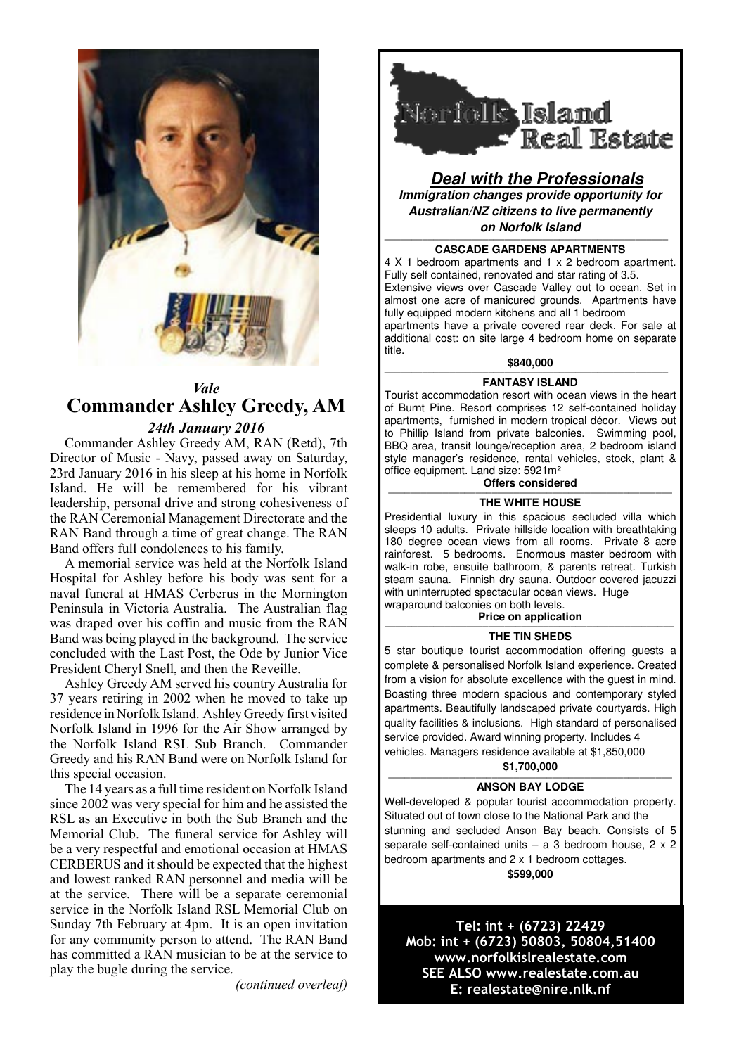

# *Vale* **Commander Ashley Greedy, AM** *24th January 2016*

Commander Ashley Greedy AM, RAN (Retd), 7th Director of Music - Navy, passed away on Saturday, 23rd January 2016 in his sleep at his home in Norfolk Island. He will be remembered for his vibrant leadership, personal drive and strong cohesiveness of the RAN Ceremonial Management Directorate and the RAN Band through a time of great change. The RAN Band offers full condolences to his family.

A memorial service was held at the Norfolk Island Hospital for Ashley before his body was sent for a naval funeral at HMAS Cerberus in the Mornington Peninsula in Victoria Australia. The Australian flag was draped over his coffin and music from the RAN Band was being played in the background. The service concluded with the Last Post, the Ode by Junior Vice President Cheryl Snell, and then the Reveille.

Ashley Greedy AM served his country Australia for 37 years retiring in 2002 when he moved to take up residence in Norfolk Island. Ashley Greedy first visited Norfolk Island in 1996 for the Air Show arranged by the Norfolk Island RSL Sub Branch. Commander Greedy and his RAN Band were on Norfolk Island for this special occasion.

The 14 years as a full time resident on Norfolk Island since 2002 was very special for him and he assisted the RSL as an Executive in both the Sub Branch and the Memorial Club. The funeral service for Ashley will be a very respectful and emotional occasion at HMAS CERBERUS and it should be expected that the highest and lowest ranked RAN personnel and media will be at the service. There will be a separate ceremonial service in the Norfolk Island RSL Memorial Club on Sunday 7th February at 4pm. It is an open invitation for any community person to attend. The RAN Band has committed a RAN musician to be at the service to play the bugle during the service.

*(continued overleaf)*



**Deal with the Professionals Immigration changes provide opportunity for Australian/NZ citizens to live permanently on Norfolk Island**

#### **———————————————————————————————————————————————————— CASCADE GARDENS APARTMENTS**

4 X 1 bedroom apartments and 1 x 2 bedroom apartment. Fully self contained, renovated and star rating of 3.5. Extensive views over Cascade Valley out to ocean. Set in almost one acre of manicured grounds. Apartments have fully equipped modern kitchens and all 1 bedroom apartments have a private covered rear deck. For sale at additional cost: on site large 4 bedroom home on separate title.

# **\$840,000 ————————————————————————————————————————————————————**

## **FANTASY ISLAND**

Tourist accommodation resort with ocean views in the heart of Burnt Pine. Resort comprises 12 self-contained holiday apartments, furnished in modern tropical décor. Views out to Phillip Island from private balconies. Swimming pool, BBQ area, transit lounge/reception area, 2 bedroom island style manager's residence, rental vehicles, stock, plant & office equipment. Land size: 5921m²

### **Offers considered**

#### **———————————————————————————————————————————————————— THE WHITE HOUSE**

Presidential luxury in this spacious secluded villa which sleeps 10 adults. Private hillside location with breathtaking 180 degree ocean views from all rooms. Private 8 acre rainforest. 5 bedrooms. Enormous master bedroom with walk-in robe, ensuite bathroom, & parents retreat. Turkish steam sauna. Finnish dry sauna. Outdoor covered jacuzzi with uninterrupted spectacular ocean views. Huge wraparound balconies on both levels.

### **Price on application**

## **THE TIN SHEDS**

5 star boutique tourist accommodation offering guests a complete & personalised Norfolk Island experience. Created from a vision for absolute excellence with the guest in mind. Boasting three modern spacious and contemporary styled apartments. Beautifully landscaped private courtyards. High quality facilities & inclusions. High standard of personalised service provided. Award winning property. Includes 4 vehicles. Managers residence available at \$1,850,000

**\$1,700,000 ————————————————————————————————————————————————————**

## **ANSON BAY LODGE**

Well-developed & popular tourist accommodation property. Situated out of town close to the National Park and the stunning and secluded Anson Bay beach. Consists of 5 separate self-contained units  $-$  a 3 bedroom house, 2 x 2 bedroom apartments and 2 x 1 bedroom cottages. **\$599,000** 

Tel: int + (6723) 22429 Mob: int + (6723) 50803, 50804,51400 www.norfolkislrealestate.com SEE ALSO www.realestate.com.au E: realestate@nire.nlk.nf